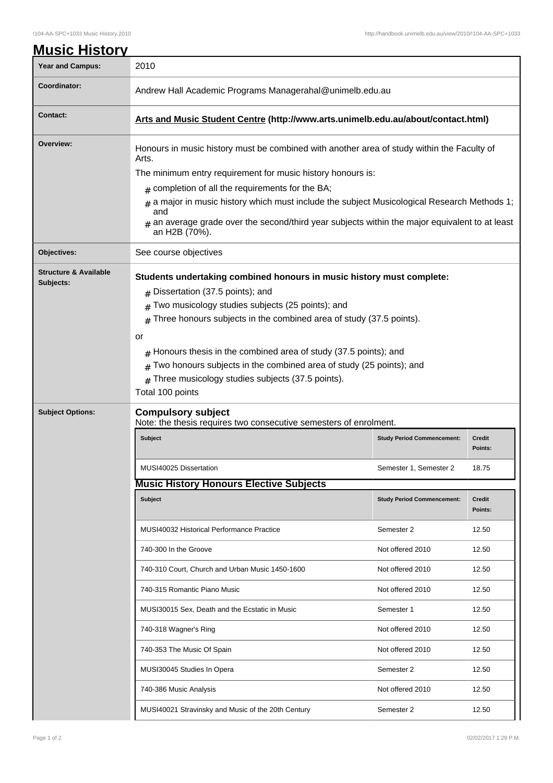| <b>Year and Campus:</b>                       | 2010                                                                                                                 |                                   |                   |  |
|-----------------------------------------------|----------------------------------------------------------------------------------------------------------------------|-----------------------------------|-------------------|--|
| Coordinator:                                  | Andrew Hall Academic Programs Managerahal@unimelb.edu.au                                                             |                                   |                   |  |
| <b>Contact:</b>                               | Arts and Music Student Centre (http://www.arts.unimelb.edu.au/about/contact.html)                                    |                                   |                   |  |
| Overview:                                     | Honours in music history must be combined with another area of study within the Faculty of<br>Arts.                  |                                   |                   |  |
|                                               | The minimum entry requirement for music history honours is:                                                          |                                   |                   |  |
|                                               | completion of all the requirements for the BA;<br>#                                                                  |                                   |                   |  |
|                                               | a major in music history which must include the subject Musicological Research Methods 1;<br>#                       |                                   |                   |  |
|                                               | and<br>an average grade over the second/third year subjects within the major equivalent to at least<br>an H2B (70%). |                                   |                   |  |
| Objectives:                                   | See course objectives                                                                                                |                                   |                   |  |
| <b>Structure &amp; Available</b><br>Subjects: | Students undertaking combined honours in music history must complete:                                                |                                   |                   |  |
|                                               | Dissertation (37.5 points); and                                                                                      |                                   |                   |  |
|                                               | Two musicology studies subjects (25 points); and                                                                     |                                   |                   |  |
|                                               | Three honours subjects in the combined area of study (37.5 points).<br>#                                             |                                   |                   |  |
|                                               | or                                                                                                                   |                                   |                   |  |
|                                               | Honours thesis in the combined area of study (37.5 points); and                                                      |                                   |                   |  |
|                                               | Two honours subjects in the combined area of study (25 points); and<br>#                                             |                                   |                   |  |
|                                               | Three musicology studies subjects (37.5 points).<br>#                                                                |                                   |                   |  |
|                                               | Total 100 points                                                                                                     |                                   |                   |  |
| <b>Subject Options:</b>                       | <b>Compulsory subject</b><br>Note: the thesis requires two consecutive semesters of enrolment.                       |                                   |                   |  |
|                                               | <b>Subject</b>                                                                                                       | <b>Study Period Commencement:</b> | Credit<br>Points: |  |
|                                               | MUSI40025 Dissertation                                                                                               | Semester 1, Semester 2            | 18.75             |  |
|                                               | <b>Music History Honours Elective Subjects</b>                                                                       |                                   |                   |  |
|                                               | Subject                                                                                                              | <b>Study Period Commencement:</b> | Credit<br>Points: |  |
|                                               | MUSI40032 Historical Performance Practice                                                                            | Semester 2                        | 12.50             |  |
|                                               | 740-300 In the Groove                                                                                                | Not offered 2010                  | 12.50             |  |
|                                               | 740-310 Court, Church and Urban Music 1450-1600                                                                      | Not offered 2010                  | 12.50             |  |
|                                               | 740-315 Romantic Piano Music                                                                                         | Not offered 2010                  | 12.50             |  |
|                                               | MUSI30015 Sex, Death and the Ecstatic in Music                                                                       | Semester 1                        | 12.50             |  |
|                                               | 740-318 Wagner's Ring                                                                                                | Not offered 2010                  | 12.50             |  |
|                                               | 740-353 The Music Of Spain                                                                                           | Not offered 2010                  | 12.50             |  |
|                                               | MUSI30045 Studies In Opera                                                                                           | Semester 2                        | 12.50             |  |
|                                               | 740-386 Music Analysis                                                                                               | Not offered 2010                  | 12.50             |  |
|                                               | MUSI40021 Stravinsky and Music of the 20th Century                                                                   | Semester 2                        | 12.50             |  |